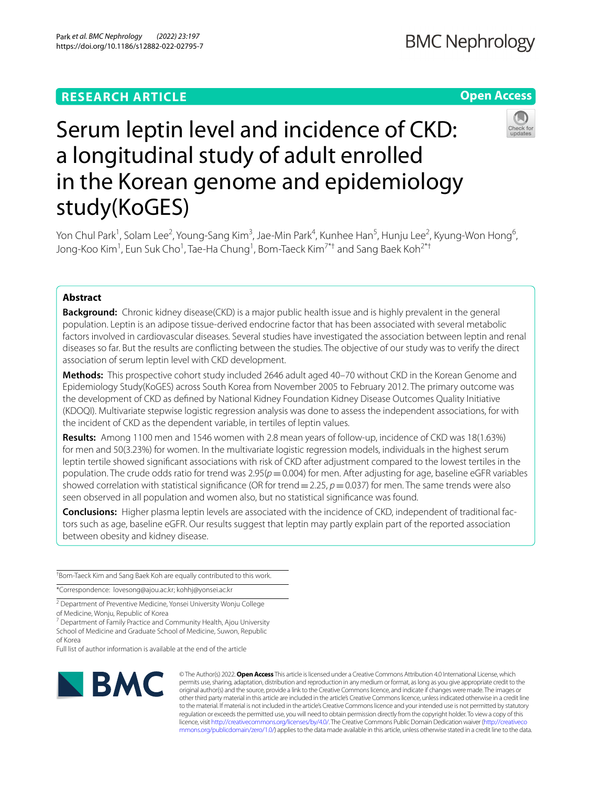# **RESEARCH ARTICLE**

## **Open Access**



# Serum leptin level and incidence of CKD: a longitudinal study of adult enrolled in the Korean genome and epidemiology study(KoGES)

Yon Chul Park<sup>1</sup>, Solam Lee<sup>2</sup>, Young-Sang Kim<sup>3</sup>, Jae-Min Park<sup>4</sup>, Kunhee Han<sup>5</sup>, Hunju Lee<sup>2</sup>, Kyung-Won Hong<sup>6</sup>, Jong-Koo Kim<sup>1</sup>, Eun Suk Cho<sup>1</sup>, Tae-Ha Chung<sup>1</sup>, Bom-Taeck Kim<sup>7\*†</sup> and Sang Baek Koh<sup>2\*†</sup>

## **Abstract**

**Background:** Chronic kidney disease(CKD) is a major public health issue and is highly prevalent in the general population. Leptin is an adipose tissue-derived endocrine factor that has been associated with several metabolic factors involved in cardiovascular diseases. Several studies have investigated the association between leptin and renal diseases so far. But the results are conficting between the studies. The objective of our study was to verify the direct association of serum leptin level with CKD development.

**Methods:** This prospective cohort study included 2646 adult aged 40–70 without CKD in the Korean Genome and Epidemiology Study(KoGES) across South Korea from November 2005 to February 2012. The primary outcome was the development of CKD as defned by National Kidney Foundation Kidney Disease Outcomes Quality Initiative (KDOQI). Multivariate stepwise logistic regression analysis was done to assess the independent associations, for with the incident of CKD as the dependent variable, in tertiles of leptin values.

**Results:** Among 1100 men and 1546 women with 2.8 mean years of follow-up, incidence of CKD was 18(1.63%) for men and 50(3.23%) for women. In the multivariate logistic regression models, individuals in the highest serum leptin tertile showed signifcant associations with risk of CKD after adjustment compared to the lowest tertiles in the population. The crude odds ratio for trend was 2.95(*p*=0.004) for men. After adjusting for age, baseline eGFR variables showed correlation with statistical signifcance (OR for trend=2.25, *p*=0.037) for men. The same trends were also seen observed in all population and women also, but no statistical signifcance was found.

**Conclusions:** Higher plasma leptin levels are associated with the incidence of CKD, independent of traditional factors such as age, baseline eGFR. Our results suggest that leptin may partly explain part of the reported association between obesity and kidney disease.

† Bom-Taeck Kim and Sang Baek Koh are equally contributed to this work.

\*Correspondence: lovesong@ajou.ac.kr; kohhj@yonsei.ac.kr

<sup>2</sup> Department of Preventive Medicine, Yonsei University Wonju College of Medicine, Wonju, Republic of Korea

<sup>7</sup> Department of Family Practice and Community Health, Ajou University School of Medicine and Graduate School of Medicine, Suwon, Republic of Korea

Full list of author information is available at the end of the article



© The Author(s) 2022. **Open Access** This article is licensed under a Creative Commons Attribution 4.0 International License, which permits use, sharing, adaptation, distribution and reproduction in any medium or format, as long as you give appropriate credit to the original author(s) and the source, provide a link to the Creative Commons licence, and indicate if changes were made. The images or other third party material in this article are included in the article's Creative Commons licence, unless indicated otherwise in a credit line to the material. If material is not included in the article's Creative Commons licence and your intended use is not permitted by statutory regulation or exceeds the permitted use, you will need to obtain permission directly from the copyright holder. To view a copy of this licence, visit [http://creativecommons.org/licenses/by/4.0/.](http://creativecommons.org/licenses/by/4.0/) The Creative Commons Public Domain Dedication waiver ([http://creativeco](http://creativecommons.org/publicdomain/zero/1.0/) [mmons.org/publicdomain/zero/1.0/](http://creativecommons.org/publicdomain/zero/1.0/)) applies to the data made available in this article, unless otherwise stated in a credit line to the data.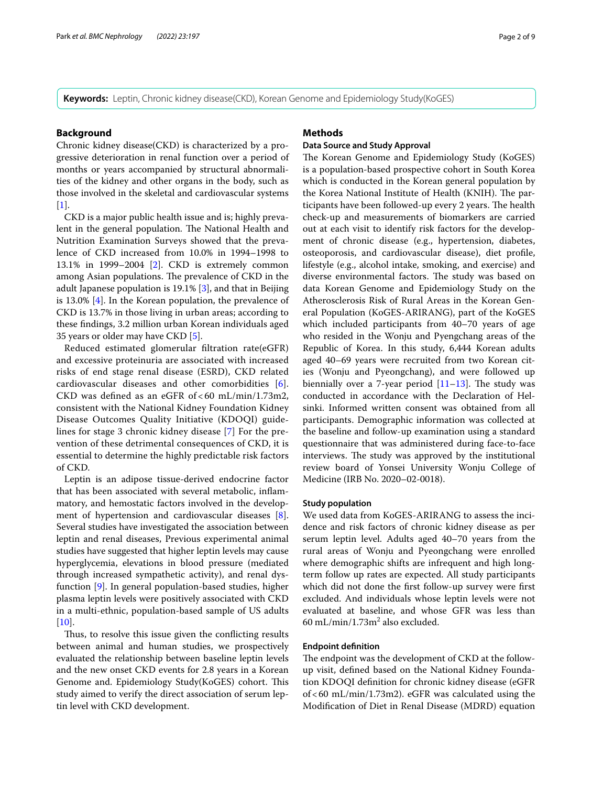**Keywords:** Leptin, Chronic kidney disease(CKD), Korean Genome and Epidemiology Study(KoGES)

## **Background**

Chronic kidney disease(CKD) is characterized by a progressive deterioration in renal function over a period of months or years accompanied by structural abnormalities of the kidney and other organs in the body, such as those involved in the skeletal and cardiovascular systems [[1\]](#page-7-0).

CKD is a major public health issue and is; highly prevalent in the general population. The National Health and Nutrition Examination Surveys showed that the prevalence of CKD increased from 10.0% in 1994–1998 to 13.1% in 1999–2004 [[2\]](#page-7-1). CKD is extremely common among Asian populations. The prevalence of CKD in the adult Japanese population is 19.1% [[3\]](#page-7-2), and that in Beijing is 13.0% [\[4\]](#page-7-3). In the Korean population, the prevalence of CKD is 13.7% in those living in urban areas; according to these fndings, 3.2 million urban Korean individuals aged 35 years or older may have CKD [[5\]](#page-7-4).

Reduced estimated glomerular fltration rate(eGFR) and excessive proteinuria are associated with increased risks of end stage renal disease (ESRD), CKD related cardiovascular diseases and other comorbidities [[6](#page-7-5)]. CKD was defned as an eGFR of < 60 mL/min/1.73m2, consistent with the National Kidney Foundation Kidney Disease Outcomes Quality Initiative (KDOQI) guidelines for stage 3 chronic kidney disease [[7\]](#page-7-6) For the prevention of these detrimental consequences of CKD, it is essential to determine the highly predictable risk factors of CKD.

Leptin is an adipose tissue-derived endocrine factor that has been associated with several metabolic, infammatory, and hemostatic factors involved in the development of hypertension and cardiovascular diseases [\[8](#page-7-7)]. Several studies have investigated the association between leptin and renal diseases, Previous experimental animal studies have suggested that higher leptin levels may cause hyperglycemia, elevations in blood pressure (mediated through increased sympathetic activity), and renal dysfunction [[9\]](#page-7-8). In general population-based studies, higher plasma leptin levels were positively associated with CKD in a multi-ethnic, population-based sample of US adults  $[10]$  $[10]$ .

Thus, to resolve this issue given the conflicting results between animal and human studies, we prospectively evaluated the relationship between baseline leptin levels and the new onset CKD events for 2.8 years in a Korean Genome and. Epidemiology Study(KoGES) cohort. This study aimed to verify the direct association of serum leptin level with CKD development.

## **Methods**

## **Data Source and Study Approval**

The Korean Genome and Epidemiology Study (KoGES) is a population-based prospective cohort in South Korea which is conducted in the Korean general population by the Korea National Institute of Health (KNIH). The participants have been followed-up every 2 years. The health check-up and measurements of biomarkers are carried out at each visit to identify risk factors for the development of chronic disease (e.g., hypertension, diabetes, osteoporosis, and cardiovascular disease), diet profle, lifestyle (e.g., alcohol intake, smoking, and exercise) and diverse environmental factors. The study was based on data Korean Genome and Epidemiology Study on the Atherosclerosis Risk of Rural Areas in the Korean General Population (KoGES-ARIRANG), part of the KoGES which included participants from 40–70 years of age who resided in the Wonju and Pyengchang areas of the Republic of Korea. In this study, 6,444 Korean adults aged 40–69 years were recruited from two Korean cities (Wonju and Pyeongchang), and were followed up biennially over a 7-year period  $[11-13]$  $[11-13]$  $[11-13]$ . The study was conducted in accordance with the Declaration of Helsinki. Informed written consent was obtained from all participants. Demographic information was collected at the baseline and follow-up examination using a standard questionnaire that was administered during face-to-face interviews. The study was approved by the institutional review board of Yonsei University Wonju College of Medicine (IRB No. 2020–02-0018).

## **Study population**

We used data from KoGES-ARIRANG to assess the incidence and risk factors of chronic kidney disease as per serum leptin level. Adults aged 40–70 years from the rural areas of Wonju and Pyeongchang were enrolled where demographic shifts are infrequent and high longterm follow up rates are expected. All study participants which did not done the frst follow-up survey were frst excluded. And individuals whose leptin levels were not evaluated at baseline, and whose GFR was less than  $60 \text{ mL/min}/1.73 \text{m}^2$  also excluded.

#### **Endpoint defnition**

The endpoint was the development of CKD at the followup visit, defned based on the National Kidney Foundation KDOQI defnition for chronic kidney disease (eGFR of<60 mL/min/1.73m2). eGFR was calculated using the Modifcation of Diet in Renal Disease (MDRD) equation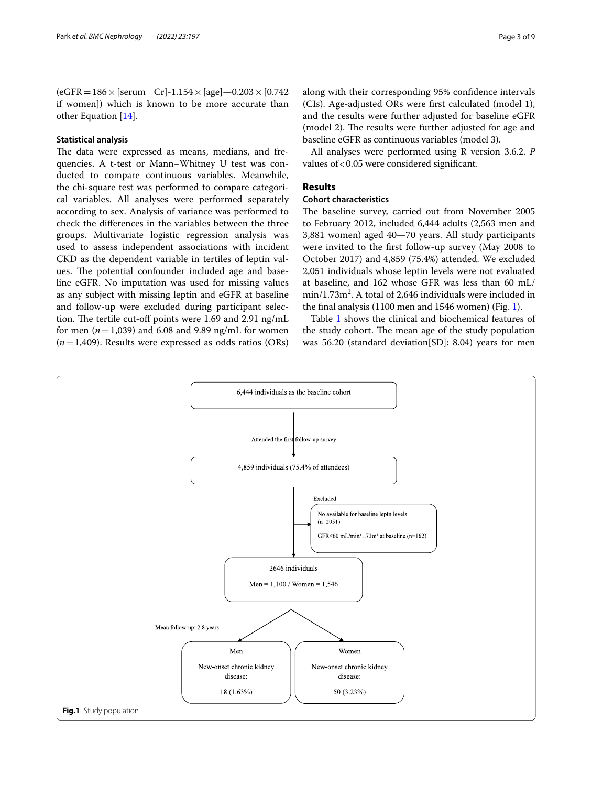$(eGFR = 186 \times [serum \ Cr] - 1.154 \times [age] - 0.203 \times [0.742]$ if women]) which is known to be more accurate than other Equation [\[14](#page-7-12)].

#### **Statistical analysis**

The data were expressed as means, medians, and frequencies. A t-test or Mann–Whitney U test was conducted to compare continuous variables. Meanwhile, the chi-square test was performed to compare categorical variables. All analyses were performed separately according to sex. Analysis of variance was performed to check the diferences in the variables between the three groups. Multivariate logistic regression analysis was used to assess independent associations with incident CKD as the dependent variable in tertiles of leptin values. The potential confounder included age and baseline eGFR. No imputation was used for missing values as any subject with missing leptin and eGFR at baseline and follow-up were excluded during participant selection. The tertile cut-off points were 1.69 and 2.91 ng/mL for men  $(n=1,039)$  and 6.08 and 9.89 ng/mL for women (*n*=1,409). Results were expressed as odds ratios (ORs) along with their corresponding 95% confdence intervals (CIs). Age-adjusted ORs were frst calculated (model 1), and the results were further adjusted for baseline eGFR (model 2). The results were further adjusted for age and baseline eGFR as continuous variables (model 3).

All analyses were performed using R version 3.6.2. *P* values of <0.05 were considered significant.

#### **Results**

## **Cohort characteristics**

The baseline survey, carried out from November 2005 to February 2012, included 6,444 adults (2,563 men and 3,881 women) aged 40—70 years. All study participants were invited to the frst follow-up survey (May 2008 to October 2017) and 4,859 (75.4%) attended. We excluded 2,051 individuals whose leptin levels were not evaluated at baseline, and 162 whose GFR was less than 60 mL/  $min/1.73m^2$ . A total of 2,646 individuals were included in the fnal analysis (1100 men and 1546 women) (Fig. [1](#page-2-0)).

Table [1](#page-3-0) shows the clinical and biochemical features of the study cohort. The mean age of the study population was 56.20 (standard deviation[SD]: 8.04) years for men

<span id="page-2-0"></span>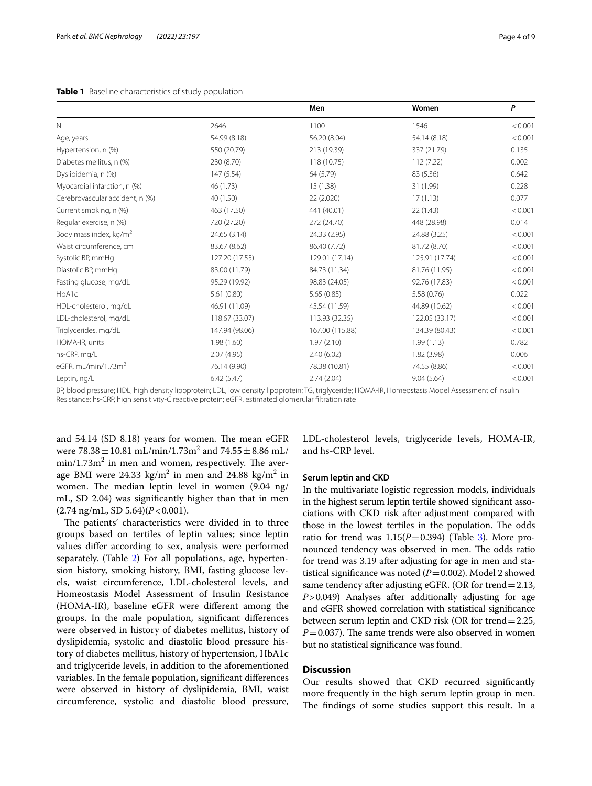#### <span id="page-3-0"></span>**Table 1** Baseline characteristics of study population

|                                                                                                                                                |                | Men             | Women          | P       |
|------------------------------------------------------------------------------------------------------------------------------------------------|----------------|-----------------|----------------|---------|
| N                                                                                                                                              | 2646           | 1100            | 1546           | < 0.001 |
| Age, years                                                                                                                                     | 54.99 (8.18)   | 56.20 (8.04)    | 54.14 (8.18)   | < 0.001 |
| Hypertension, n (%)                                                                                                                            | 550 (20.79)    | 213 (19.39)     | 337 (21.79)    | 0.135   |
| Diabetes mellitus, n (%)                                                                                                                       | 230 (8.70)     | 118 (10.75)     | 112 (7.22)     | 0.002   |
| Dyslipidemia, n (%)                                                                                                                            | 147 (5.54)     | 64 (5.79)       | 83 (5.36)      | 0.642   |
| Myocardial infarction, n (%)                                                                                                                   | 46 (1.73)      | 15 (1.38)       | 31 (1.99)      | 0.228   |
| Cerebrovascular accident, n (%)                                                                                                                | 40 (1.50)      | 22 (2.020)      | 17(1.13)       | 0.077   |
| Current smoking, n (%)                                                                                                                         | 463 (17.50)    | 441 (40.01)     | 22 (1.43)      | < 0.001 |
| Regular exercise, n (%)                                                                                                                        | 720 (27.20)    | 272 (24.70)     | 448 (28.98)    | 0.014   |
| Body mass index, kg/m <sup>2</sup>                                                                                                             | 24.65 (3.14)   | 24.33 (2.95)    | 24.88 (3.25)   | < 0.001 |
| Waist circumference, cm                                                                                                                        | 83.67 (8.62)   | 86.40 (7.72)    | 81.72 (8.70)   | < 0.001 |
| Systolic BP, mmHg                                                                                                                              | 127.20 (17.55) | 129.01 (17.14)  | 125.91 (17.74) | < 0.001 |
| Diastolic BP, mmHg                                                                                                                             | 83.00 (11.79)  | 84.73 (11.34)   | 81.76 (11.95)  | < 0.001 |
| Fasting glucose, mg/dL                                                                                                                         | 95.29 (19.92)  | 98.83 (24.05)   | 92.76 (17.83)  | < 0.001 |
| HbA1c                                                                                                                                          | 5.61(0.80)     | 5.65(0.85)      | 5.58 (0.76)    | 0.022   |
| HDL-cholesterol, mg/dL                                                                                                                         | 46.91 (11.09)  | 45.54 (11.59)   | 44.89 (10.62)  | < 0.001 |
| LDL-cholesterol, mg/dL                                                                                                                         | 118.67 (33.07) | 113.93 (32.35)  | 122.05 (33.17) | < 0.001 |
| Triglycerides, mg/dL                                                                                                                           | 147.94 (98.06) | 167.00 (115.88) | 134.39 (80.43) | < 0.001 |
| HOMA-IR, units                                                                                                                                 | 1.98(1.60)     | 1.97(2.10)      | 1.99(1.13)     | 0.782   |
| hs-CRP, mg/L                                                                                                                                   | 2.07(4.95)     | 2.40(6.02)      | 1.82(3.98)     | 0.006   |
| eGFR, mL/min/1.73 $m2$                                                                                                                         | 76.14 (9.90)   | 78.38 (10.81)   | 74.55 (8.86)   | < 0.001 |
| Leptin, ng/L                                                                                                                                   | 6.42(5.47)     | 2.74(2.04)      | 9.04(5.64)     | < 0.001 |
| RP blood pressure: HDL bigh density lipoprotein: LDL low density lipoprotein: TG triglyceride: HOMA-IR Homeostasis Model Assessment of Insulin |                |                 |                |         |

BP, blood pressure; HDL, high density lipoprotein; LDL, low density lipoprotein; TG, triglyceride; HOMA-IR, Homeostasis Model Assessment of Insulin Resistance; hs-CRP, high sensitivity-C reactive protein; eGFR, estimated glomerular fltration rate

and  $54.14$  (SD  $8.18$ ) years for women. The mean eGFR were  $78.38 \pm 10.81 \text{ mL/min} / 1.73 \text{m}^2$  and  $74.55 \pm 8.86 \text{ mL} / 1.73 \text{ m}^2$  $\text{min}/1.73\text{m}^2$  in men and women, respectively. The average BMI were 24.33 kg/m<sup>2</sup> in men and 24.88 kg/m<sup>2</sup> in women. The median leptin level in women (9.04 ng/ mL, SD 2.04) was signifcantly higher than that in men  $(2.74 \text{ ng/mL}, SD 5.64)$  $(P<0.001)$ .

The patients' characteristics were divided in to three groups based on tertiles of leptin values; since leptin values difer according to sex, analysis were performed separately. (Table [2\)](#page-4-0) For all populations, age, hypertension history, smoking history, BMI, fasting glucose levels, waist circumference, LDL-cholesterol levels, and Homeostasis Model Assessment of Insulin Resistance (HOMA-IR), baseline eGFR were diferent among the groups. In the male population, signifcant diferences were observed in history of diabetes mellitus, history of dyslipidemia, systolic and diastolic blood pressure history of diabetes mellitus, history of hypertension, HbA1c and triglyceride levels, in addition to the aforementioned variables. In the female population, signifcant diferences were observed in history of dyslipidemia, BMI, waist circumference, systolic and diastolic blood pressure, LDL-cholesterol levels, triglyceride levels, HOMA-IR, and hs-CRP level.

## **Serum leptin and CKD**

In the multivariate logistic regression models, individuals in the highest serum leptin tertile showed signifcant associations with CKD risk after adjustment compared with those in the lowest tertiles in the population. The odds ratio for trend was  $1.15(P=0.394)$  (Table [3\)](#page-6-0). More pronounced tendency was observed in men. The odds ratio for trend was 3.19 after adjusting for age in men and statistical significance was noted  $(P=0.002)$ . Model 2 showed same tendency after adjusting eGFR. (OR for trend = 2.13, *P*>0.049) Analyses after additionally adjusting for age and eGFR showed correlation with statistical signifcance between serum leptin and CKD risk (OR for trend=2.25,  $P=0.037$ ). The same trends were also observed in women but no statistical signifcance was found.

## **Discussion**

Our results showed that CKD recurred signifcantly more frequently in the high serum leptin group in men. The findings of some studies support this result. In a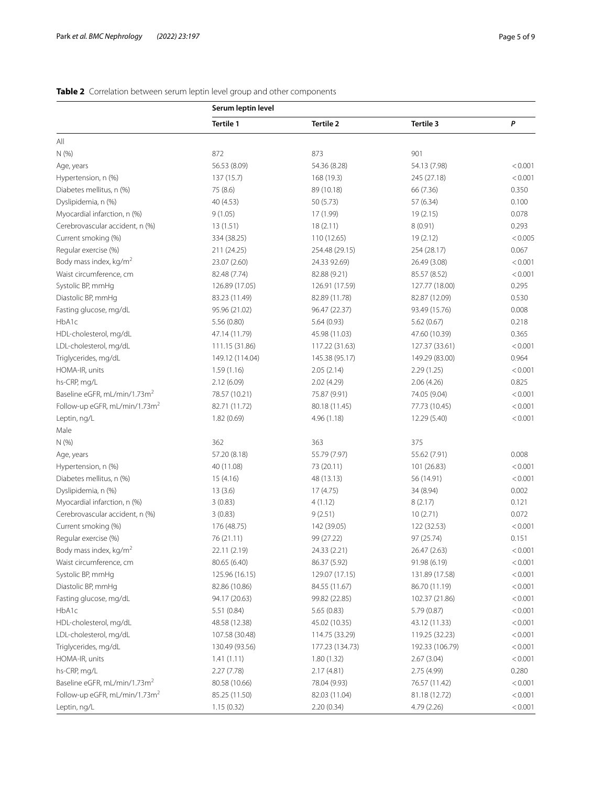## <span id="page-4-0"></span>**Table 2** Correlation between serum leptin level group and other components

|                                           | Serum leptin level |                  |                 |         |  |
|-------------------------------------------|--------------------|------------------|-----------------|---------|--|
|                                           | Tertile 1          | <b>Tertile 2</b> | Tertile 3       | P       |  |
| All                                       |                    |                  |                 |         |  |
| N (%)                                     | 872                | 873              | 901             |         |  |
| Age, years                                | 56.53 (8.09)       | 54.36 (8.28)     | 54.13 (7.98)    | < 0.001 |  |
| Hypertension, n (%)                       | 137(15.7)          | 168 (19.3)       | 245 (27.18)     | < 0.001 |  |
| Diabetes mellitus, n (%)                  | 75 (8.6)           | 89 (10.18)       | 66 (7.36)       | 0.350   |  |
| Dyslipidemia, n (%)                       | 40 (4.53)          | 50 (5.73)        | 57 (6.34)       | 0.100   |  |
| Myocardial infarction, n (%)              | 9(1.05)            | 17 (1.99)        | 19(2.15)        | 0.078   |  |
| Cerebrovascular accident, n (%)           | 13(1.51)           | 18(2.11)         | 8(0.91)         | 0.293   |  |
| Current smoking (%)                       | 334 (38.25)        | 110 (12.65)      | 19(2.12)        | < 0.005 |  |
| Regular exercise (%)                      | 211 (24.25)        | 254.48 (29.15)   | 254 (28.17)     | 0.067   |  |
| Body mass index, kg/m <sup>2</sup>        | 23.07 (2.60)       | 24.33 92.69)     | 26.49 (3.08)    | < 0.001 |  |
| Waist circumference, cm                   | 82.48 (7.74)       | 82.88 (9.21)     | 85.57 (8.52)    | < 0.001 |  |
| Systolic BP, mmHg                         | 126.89 (17.05)     | 126.91 (17.59)   | 127.77 (18.00)  | 0.295   |  |
| Diastolic BP, mmHg                        | 83.23 (11.49)      | 82.89 (11.78)    | 82.87 (12.09)   | 0.530   |  |
| Fasting glucose, mg/dL                    | 95.96 (21.02)      | 96.47 (22.37)    | 93.49 (15.76)   | 0.008   |  |
| HbA1c                                     | 5.56(0.80)         | 5.64(0.93)       | 5.62(0.67)      | 0.218   |  |
| HDL-cholesterol, mg/dL                    | 47.14 (11.79)      | 45.98 (11.03)    | 47.60 (10.39)   | 0.365   |  |
| LDL-cholesterol, mg/dL                    | 111.15 (31.86)     | 117.22 (31.63)   | 127.37 (33.61)  | < 0.001 |  |
| Triglycerides, mg/dL                      | 149.12 (114.04)    | 145.38 (95.17)   | 149.29 (83.00)  | 0.964   |  |
| HOMA-IR, units                            | 1.59(1.16)         | 2.05(2.14)       | 2.29(1.25)      | < 0.001 |  |
| hs-CRP, mg/L                              | 2.12(6.09)         | 2.02(4.29)       | 2.06(4.26)      | 0.825   |  |
| Baseline eGFR, mL/min/1.73m <sup>2</sup>  | 78.57 (10.21)      | 75.87 (9.91)     | 74.05 (9.04)    | < 0.001 |  |
| Follow-up eGFR, mL/min/1.73m <sup>2</sup> | 82.71 (11.72)      | 80.18 (11.45)    | 77.73 (10.45)   | < 0.001 |  |
| Leptin, ng/L                              | 1.82(0.69)         | 4.96(1.18)       | 12.29 (5.40)    | < 0.001 |  |
| Male                                      |                    |                  |                 |         |  |
| N (%)                                     | 362                | 363              | 375             |         |  |
| Age, years                                | 57.20 (8.18)       | 55.79 (7.97)     | 55.62 (7.91)    | 0.008   |  |
| Hypertension, n (%)                       | 40 (11.08)         | 73 (20.11)       | 101 (26.83)     | < 0.001 |  |
| Diabetes mellitus, n (%)                  | 15(4.16)           | 48 (13.13)       | 56 (14.91)      | < 0.001 |  |
| Dyslipidemia, n (%)                       | 13(3.6)            | 17(4.75)         | 34 (8.94)       | 0.002   |  |
| Myocardial infarction, n (%)              | 3(0.83)            | 4(1.12)          | 8(2.17)         | 0.121   |  |
| Cerebrovascular accident, n (%)           | 3(0.83)            | 9(2.51)          | 10(2.71)        | 0.072   |  |
| Current smoking (%)                       | 176 (48.75)        | 142 (39.05)      | 122 (32.53)     | < 0.001 |  |
| Regular exercise (%)                      | 76 (21.11)         | 99 (27.22)       | 97 (25.74)      | 0.151   |  |
| Body mass index, $kg/m2$                  | 22.11 (2.19)       | 24.33 (2.21)     | 26.47 (2.63)    | < 0.001 |  |
| Waist circumference, cm                   | 80.65 (6.40)       | 86.37 (5.92)     | 91.98 (6.19)    | < 0.001 |  |
| Systolic BP, mmHg                         | 125.96 (16.15)     | 129.07 (17.15)   | 131.89 (17.58)  | < 0.001 |  |
| Diastolic BP, mmHg                        | 82.86 (10.86)      | 84.55 (11.67)    | 86.70 (11.19)   | < 0.001 |  |
| Fasting glucose, mg/dL                    | 94.17 (20.63)      | 99.82 (22.85)    | 102.37 (21.86)  | < 0.001 |  |
| HbA1c                                     | 5.51(0.84)         | 5.65(0.83)       | 5.79 (0.87)     | < 0.001 |  |
| HDL-cholesterol, mg/dL                    | 48.58 (12.38)      | 45.02 (10.35)    | 43.12 (11.33)   | < 0.001 |  |
| LDL-cholesterol, mg/dL                    | 107.58 (30.48)     | 114.75 (33.29)   | 119.25 (32.23)  | < 0.001 |  |
| Triglycerides, mg/dL                      | 130.49 (93.56)     | 177.23 (134.73)  | 192.33 (106.79) | < 0.001 |  |
| HOMA-IR, units                            | 1.41(1.11)         | 1.80(1.32)       | 2.67(3.04)      | < 0.001 |  |
| hs-CRP, mg/L                              | 2.27(7.78)         | 2.17(4.81)       | 2.75 (4.99)     | 0.280   |  |
| Baseline eGFR, mL/min/1.73m <sup>2</sup>  | 80.58 (10.66)      | 78.04 (9.93)     | 76.57 (11.42)   | < 0.001 |  |
| Follow-up eGFR, mL/min/1.73m <sup>2</sup> | 85.25 (11.50)      | 82.03 (11.04)    | 81.18 (12.72)   | < 0.001 |  |
| Leptin, ng/L                              | 1.15(0.32)         | 2.20(0.34)       | 4.79 (2.26)     | < 0.001 |  |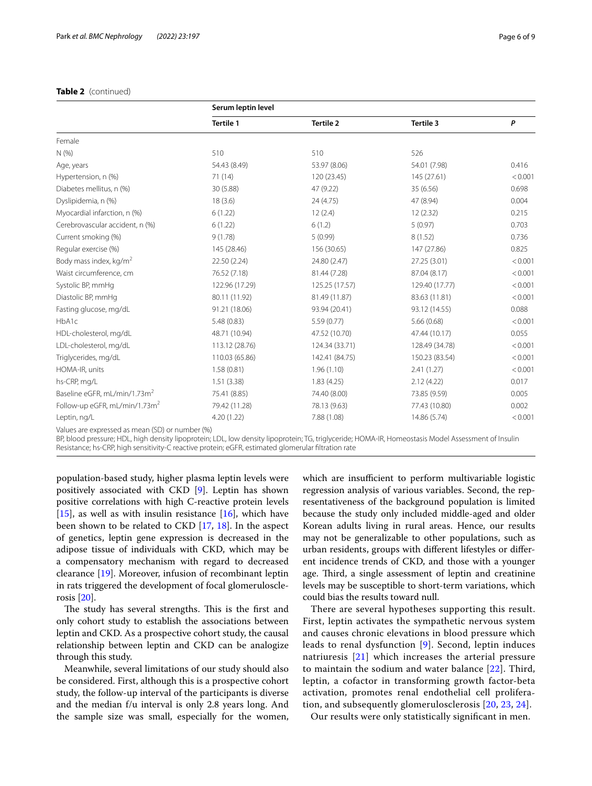## **Table 2** (continued)

| <b>IdDIE 2</b> (CONTINUED)      |                    |                  |                |         |  |
|---------------------------------|--------------------|------------------|----------------|---------|--|
|                                 | Serum leptin level |                  |                |         |  |
|                                 | <b>Tertile 1</b>   | <b>Tertile 2</b> | Tertile 3      | P       |  |
| Female                          |                    |                  |                |         |  |
| N(%                             | 510                | 510              | 526            |         |  |
| Age, years                      | 54.43 (8.49)       | 53.97 (8.06)     | 54.01 (7.98)   | 0.416   |  |
| Hypertension, n (%)             | 71(14)             | 120 (23.45)      | 145 (27.61)    | < 0.001 |  |
| Diabetes mellitus, n (%)        | 30 (5.88)          | 47 (9.22)        | 35 (6.56)      | 0.698   |  |
| Dyslipidemia, n (%)             | 18(3.6)            | 24 (4.75)        | 47 (8.94)      | 0.004   |  |
| Myocardial infarction, n (%)    | 6(1.22)            | 12(2.4)          | 12(2.32)       | 0.215   |  |
| Cerebrovascular accident, n (%) | 6(1.22)            | 6(1.2)           | 5(0.97)        | 0.703   |  |
| Current smoking (%)             | 9(1.78)            | 5(0.99)          | 8(1.52)        | 0.736   |  |
| Regular exercise (%)            | 145 (28.46)        | 156 (30.65)      | 147 (27.86)    | 0.825   |  |
| Body mass index, $kg/m2$        | 22.50 (2.24)       | 24.80 (2.47)     | 27.25 (3.01)   | < 0.001 |  |
| Waist circumference, cm         | 76.52 (7.18)       | 81.44 (7.28)     | 87.04 (8.17)   | < 0.001 |  |
| Systolic BP, mmHq               | 122.96 (17.29)     | 125.25 (17.57)   | 129.40 (17.77) | < 0.001 |  |
| Diastolic BP, mmHq              | 80.11 (11.92)      | 81.49 (11.87)    | 83.63 (11.81)  | < 0.001 |  |
| Fasting glucose, mg/dL          | 91.21 (18.06)      | 93.94 (20.41)    | 93.12 (14.55)  | 0.088   |  |
| HbA1c                           | 5.48(0.83)         | 5.59(0.77)       | 5.66(0.68)     | < 0.001 |  |
| HDL-cholesterol, mg/dL          | 48.71 (10.94)      | 47.52 (10.70)    | 47.44 (10.17)  | 0.055   |  |
| LDL-cholesterol, mg/dL          | 113.12 (28.76)     | 124.34 (33.71)   | 128.49 (34.78) | < 0.001 |  |

Triglycerides, mg/dL 110.03 (65.86) 142.41 (84.75) 150.23 (83.54) <0.001 HOMA-IR, units 1.58 (0.81) 1.96 (1.10) 2.41 (1.27) <0.001 hs-CRP, mg/L 1.51 (3.38) 1.51 (3.38) 1.83 (4.25) 2.12 (4.22) 0.017 Baseline eGFR, mL/min/1.73m<sup>2</sup> 75.41 (8.85) 74.40 (8.00) 73.85 (9.59) 73.85 (9.59) 0.005 Follow-up eGFR, mL/min/1.73m<sup>2</sup> 79.42 (11.28) 78.13 (9.63) 77.43 (10.80) 0.002 Leptin, ng/L 4.20 (1.22) 7.88 (1.08) 14.86 (5.74) <0.001

BP, blood pressure; HDL, high density lipoprotein; LDL, low density lipoprotein; TG, triglyceride; HOMA-IR, Homeostasis Model Assessment of Insulin

population-based study, higher plasma leptin levels were positively associated with CKD [[9\]](#page-7-8). Leptin has shown positive correlations with high C-reactive protein levels [[15\]](#page-7-13), as well as with insulin resistance  $[16]$  $[16]$ , which have been shown to be related to CKD [\[17,](#page-7-15) [18](#page-7-16)]. In the aspect of genetics, leptin gene expression is decreased in the adipose tissue of individuals with CKD, which may be a compensatory mechanism with regard to decreased clearance [\[19](#page-7-17)]. Moreover, infusion of recombinant leptin in rats triggered the development of focal glomerulosclerosis [\[20](#page-7-18)].

Resistance; hs-CRP, high sensitivity-C reactive protein; eGFR, estimated glomerular fltration rate

Values are expressed as mean (SD) or number (%)

The study has several strengths. This is the first and only cohort study to establish the associations between leptin and CKD. As a prospective cohort study, the causal relationship between leptin and CKD can be analogize through this study.

Meanwhile, several limitations of our study should also be considered. First, although this is a prospective cohort study, the follow-up interval of the participants is diverse and the median f/u interval is only 2.8 years long. And the sample size was small, especially for the women, which are insufficient to perform multivariable logistic regression analysis of various variables. Second, the representativeness of the background population is limited because the study only included middle-aged and older Korean adults living in rural areas. Hence, our results may not be generalizable to other populations, such as urban residents, groups with diferent lifestyles or diferent incidence trends of CKD, and those with a younger age. Third, a single assessment of leptin and creatinine levels may be susceptible to short-term variations, which could bias the results toward null.

There are several hypotheses supporting this result. First, leptin activates the sympathetic nervous system and causes chronic elevations in blood pressure which leads to renal dysfunction [[9\]](#page-7-8). Second, leptin induces natriuresis [[21](#page-7-19)] which increases the arterial pressure to maintain the sodium and water balance [[22](#page-7-20)]. Third, leptin, a cofactor in transforming growth factor-beta activation, promotes renal endothelial cell proliferation, and subsequently glomerulosclerosis [[20](#page-7-18), [23](#page-7-21), [24](#page-7-22)].

Our results were only statistically signifcant in men.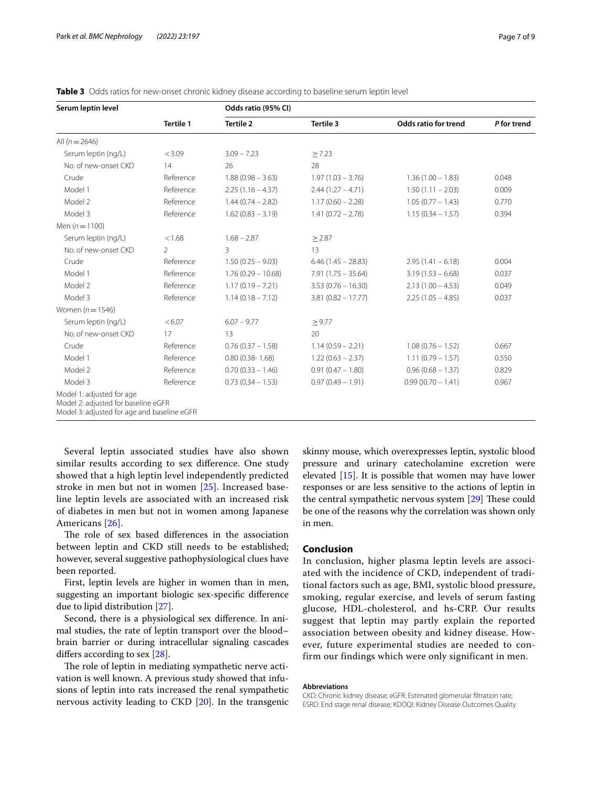| Serum leptin level                                                                                              | <b>Tertile 1</b> | Odds ratio (95% CI)  |                       |                      |             |  |
|-----------------------------------------------------------------------------------------------------------------|------------------|----------------------|-----------------------|----------------------|-------------|--|
|                                                                                                                 |                  | <b>Tertile 2</b>     | Tertile 3             | Odds ratio for trend | P for trend |  |
| All $(n = 2646)$                                                                                                |                  |                      |                       |                      |             |  |
| Serum leptin (ng/L)                                                                                             | < 3.09           | $3.09 - 7.23$        | > 7.23                |                      |             |  |
| No. of new-onset CKD                                                                                            | 14               | 26                   | 28                    |                      |             |  |
| Crude                                                                                                           | Reference        | $1.88(0.98 - 3.63)$  | $1.97(1.03 - 3.76)$   | $1.36(1.00 - 1.83)$  | 0.048       |  |
| Model 1                                                                                                         | Reference        | $2.25(1.16 - 4.37)$  | $2.44(1.27 - 4.71)$   | $1.50(1.11 - 2.03)$  | 0.009       |  |
| Model 2                                                                                                         | Reference        | $1.44(0.74 - 2.82)$  | $1.17(0.60 - 2.28)$   | $1.05(0.77 - 1.43)$  | 0.770       |  |
| Model 3                                                                                                         | Reference        | $1.62(0.83 - 3.19)$  | $1.41(0.72 - 2.78)$   | $1.15(0.34 - 1.57)$  | 0.394       |  |
| Men $(n = 1100)$                                                                                                |                  |                      |                       |                      |             |  |
| Serum leptin (ng/L)                                                                                             | < 1.68           | $1.68 - 2.87$        | $\geq$ 2.87           |                      |             |  |
| No. of new-onset CKD                                                                                            | $\mathcal{P}$    | 3                    | 13                    |                      |             |  |
| Crude                                                                                                           | Reference        | $1.50(0.25 - 9.03)$  | $6.46(1.45 - 28.83)$  | $2.95(1.41 - 6.18)$  | 0.004       |  |
| Model 1                                                                                                         | Reference        | $1.76(0.29 - 10.68)$ | $7.91(1.75 - 35.64)$  | $3.19(1.53 - 6.68)$  | 0.037       |  |
| Model 2                                                                                                         | Reference        | $1.17(0.19 - 7.21)$  | $3.53(0.76 - 16.30)$  | $2.13(1.00 - 4.53)$  | 0.049       |  |
| Model 3                                                                                                         | Reference        | $1.14(0.18 - 7.12)$  | $3.81 (0.82 - 17.77)$ | $2.25(1.05 - 4.85)$  | 0.037       |  |
| Women $(n=1546)$                                                                                                |                  |                      |                       |                      |             |  |
| Serum leptin (ng/L)                                                                                             | < 6.07           | $6.07 - 9.77$        | > 9.77                |                      |             |  |
| No. of new-onset CKD                                                                                            | 17               | 13                   | 20                    |                      |             |  |
| Crude                                                                                                           | Reference        | $0.76(0.37 - 1.58)$  | $1.14(0.59 - 2.21)$   | $1.08(0.76 - 1.52)$  | 0.667       |  |
| Model 1                                                                                                         | Reference        | $0.80(0.38 - 1.68)$  | $1.22(0.63 - 2.37)$   | $1.11(0.79 - 1.57)$  | 0.550       |  |
| Model 2                                                                                                         | Reference        | $0.70(0.33 - 1.46)$  | $0.91(0.47 - 1.80)$   | $0.96(0.68 - 1.37)$  | 0.829       |  |
| Model 3                                                                                                         | Reference        | $0.73(0.34 - 1.53)$  | $0.97(0.49 - 1.91)$   | $0.99(0.70 - 1.41)$  | 0.967       |  |
| Model 1: adjusted for age<br>Model 2: adjusted for baseline eGFR<br>Model 3: adjusted for age and baseline eGFR |                  |                      |                       |                      |             |  |

<span id="page-6-0"></span>

| <b>Table 3</b> Odds ratios for new-onset chronic kidney disease according to baseline serum leptin level |  |  |
|----------------------------------------------------------------------------------------------------------|--|--|
|----------------------------------------------------------------------------------------------------------|--|--|

Several leptin associated studies have also shown similar results according to sex diference. One study showed that a high leptin level independently predicted stroke in men but not in women [[25\]](#page-7-23). Increased baseline leptin levels are associated with an increased risk of diabetes in men but not in women among Japanese Americans [[26](#page-8-0)].

The role of sex based differences in the association between leptin and CKD still needs to be established; however, several suggestive pathophysiological clues have been reported.

First, leptin levels are higher in women than in men, suggesting an important biologic sex-specifc diference due to lipid distribution [\[27](#page-8-1)].

Second, there is a physiological sex diference. In animal studies, the rate of leptin transport over the blood– brain barrier or during intracellular signaling cascades difers according to sex [\[28\]](#page-8-2).

The role of leptin in mediating sympathetic nerve activation is well known. A previous study showed that infusions of leptin into rats increased the renal sympathetic nervous activity leading to CKD [[20\]](#page-7-18). In the transgenic skinny mouse, which overexpresses leptin, systolic blood pressure and urinary catecholamine excretion were elevated [\[15\]](#page-7-13). It is possible that women may have lower responses or are less sensitive to the actions of leptin in the central sympathetic nervous system  $[29]$  $[29]$  $[29]$  These could be one of the reasons why the correlation was shown only in men.

## **Conclusion**

In conclusion, higher plasma leptin levels are associated with the incidence of CKD, independent of traditional factors such as age, BMI, systolic blood pressure, smoking, regular exercise, and levels of serum fasting glucose, HDL-cholesterol, and hs-CRP. Our results suggest that leptin may partly explain the reported association between obesity and kidney disease. However, future experimental studies are needed to confirm our findings which were only significant in men.

#### **Abbreviations**

CKD: Chronic kidney disease; eGFR: Estimated glomerular fltration rate; ESRD: End stage renal disease; KDOQI: Kidney Disease Outcomes Quality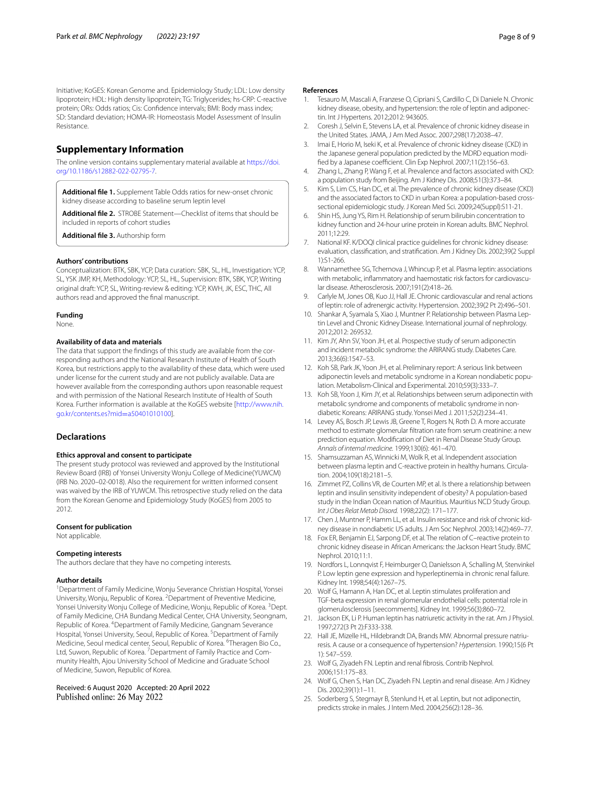Initiative; KoGES: Korean Genome and. Epidemiology Study; LDL: Low density lipoprotein; HDL: High density lipoprotein; TG: Triglycerides; hs-CRP: C-reactive protein; ORs: Odds ratios; Cis: Confdence intervals; BMI: Body mass index; SD: Standard deviation; HOMA-IR: Homeostasis Model Assessment of Insulin Resistance.

## **Supplementary Information**

The online version contains supplementary material available at [https://doi.](https://doi.org/10.1186/s12882-022-02795-7) [org/10.1186/s12882-022-02795-7](https://doi.org/10.1186/s12882-022-02795-7).

**Additional fle 1.** Supplement Table Odds ratios for new-onset chronic kidney disease according to baseline serum leptin level

**Additional fle 2.** STROBE Statement—Checklist of items that should be included in reports of cohort studies

**Additional fle 3.** Authorship form

#### **Authors' contributions**

Conceptualization: BTK, SBK, YCP, Data curation: SBK, SL, HL, Investigation: YCP, SL, YSK JMP, KH, Methodology: YCP, SL, HL, Supervision: BTK, SBK, YCP, Writing original draft: YCP, SL, Writing-review & editing: YCP, KWH, JK, ESC, THC, All authors read and approved the fnal manuscript.

## **Funding**

None.

#### **Availability of data and materials**

The data that support the findings of this study are available from the corresponding authors and the National Research Institute of Health of South Korea, but restrictions apply to the availability of these data, which were used under license for the current study and are not publicly available. Data are however available from the corresponding authors upon reasonable request and with permission of the National Research Institute of Health of South Korea. Further information is available at the KoGES website [[http://www.nih.](http://www.nih.go.kr/contents.es?mid=a50401010100) [go.kr/contents.es?mid](http://www.nih.go.kr/contents.es?mid=a50401010100)=a50401010100].

#### **Declarations**

#### **Ethics approval and consent to participate**

The present study protocol was reviewed and approved by the Institutional Review Board (IRB) of Yonsei University Wonju College of Medicine(YUWCM) (IRB No. 2020–02-0018). Also the requirement for written informed consent was waived by the IRB of YUWCM. This retrospective study relied on the data from the Korean Genome and Epidemiology Study (KoGES) from 2005 to 2012.

#### **Consent for publication**

Not applicable.

#### **Competing interests**

The authors declare that they have no competing interests.

#### **Author details**

<sup>1</sup> Department of Family Medicine, Wonju Severance Christian Hospital, Yonsei University, Wonju, Republic of Korea. <sup>2</sup> Department of Preventive Medicine, Yonsei University Wonju College of Medicine, Wonju, Republic of Korea. <sup>3</sup>Dept. of Family Medicine, CHA Bundang Medical Center, CHA University, Seongnam, Republic of Korea. <sup>4</sup> Department of Family Medicine, Gangnam Severance Hospital, Yonsei University, Seoul, Republic of Korea. <sup>5</sup> Department of Family Medicine, Seoul medical center, Seoul, Republic of Korea. <sup>6</sup>Theragen Bio Co., Ltd, Suwon, Republic of Korea. <sup>7</sup> Department of Family Practice and Community Health, Ajou University School of Medicine and Graduate School of Medicine, Suwon, Republic of Korea.

Received: 6 August 2020 Accepted: 20 April 2022 Published online: 26 May 2022

#### **References**

- <span id="page-7-0"></span>1. Tesauro M, Mascali A, Franzese O, Cipriani S, Cardillo C, Di Daniele N. Chronic kidney disease, obesity, and hypertension: the role of leptin and adiponectin. Int J Hypertens. 2012;2012: 943605.
- <span id="page-7-1"></span>2. Coresh J, Selvin E, Stevens LA, et al. Prevalence of chronic kidney disease in the United States. JAMA, J Am Med Assoc. 2007;298(17):2038–47.
- <span id="page-7-2"></span>3. Imai E, Horio M, Iseki K, et al. Prevalence of chronic kidney disease (CKD) in the Japanese general population predicted by the MDRD equation modified by a Japanese coefficient. Clin Exp Nephrol. 2007;11(2):156-63.
- <span id="page-7-3"></span>4. Zhang L, Zhang P, Wang F, et al. Prevalence and factors associated with CKD: a population study from Beijing. Am J Kidney Dis. 2008;51(3):373–84.
- <span id="page-7-4"></span>5. Kim S, Lim CS, Han DC, et al. The prevalence of chronic kidney disease (CKD) and the associated factors to CKD in urban Korea: a population-based crosssectional epidemiologic study. J Korean Med Sci. 2009;24(Suppl):S11-21.
- <span id="page-7-5"></span>6. Shin HS, Jung YS, Rim H. Relationship of serum bilirubin concentration to kidney function and 24-hour urine protein in Korean adults. BMC Nephrol. 2011;12:29.
- <span id="page-7-6"></span>7. National KF. K/DOQI clinical practice guidelines for chronic kidney disease: evaluation, classifcation, and stratifcation. Am J Kidney Dis. 2002;39(2 Suppl 1):S1-266.
- <span id="page-7-7"></span>8. Wannamethee SG, Tchernova J, Whincup P, et al. Plasma leptin: associations with metabolic, inflammatory and haemostatic risk factors for cardiovascular disease. Atherosclerosis. 2007;191(2):418–26.
- <span id="page-7-8"></span>Carlyle M, Jones OB, Kuo JJ, Hall JE. Chronic cardiovascular and renal actions of leptin: role of adrenergic activity. Hypertension. 2002;39(2 Pt 2):496–501.
- <span id="page-7-9"></span>10. Shankar A, Syamala S, Xiao J, Muntner P. Relationship between Plasma Leptin Level and Chronic Kidney Disease. International journal of nephrology. 2012;2012: 269532.
- <span id="page-7-10"></span>11. Kim JY, Ahn SV, Yoon JH, et al. Prospective study of serum adiponectin and incident metabolic syndrome: the ARIRANG study. Diabetes Care. 2013;36(6):1547–53.
- 12. Koh SB, Park JK, Yoon JH, et al. Preliminary report: A serious link between adiponectin levels and metabolic syndrome in a Korean nondiabetic population. Metabolism-Clinical and Experimental. 2010;59(3):333–7.
- <span id="page-7-11"></span>13. Koh SB, Yoon J, Kim JY, et al. Relationships between serum adiponectin with metabolic syndrome and components of metabolic syndrome in nondiabetic Koreans: ARIRANG study. Yonsei Med J. 2011;52(2):234–41.
- <span id="page-7-12"></span>14. Levey AS, Bosch JP, Lewis JB, Greene T, Rogers N, Roth D. A more accurate method to estimate glomerular fltration rate from serum creatinine: a new prediction equation. Modifcation of Diet in Renal Disease Study Group. *Annals of internal medicine.* 1999;130(6): 461–470.
- <span id="page-7-13"></span>15. Shamsuzzaman AS, Winnicki M, Wolk R, et al. Independent association between plasma leptin and C-reactive protein in healthy humans. Circulation. 2004;109(18):2181–5.
- <span id="page-7-14"></span>16. Zimmet PZ, Collins VR, de Courten MP, et al. Is there a relationship between leptin and insulin sensitivity independent of obesity? A population-based study in the Indian Ocean nation of Mauritius. Mauritius NCD Study Group. *Int J Obes Relat Metab Disord.* 1998;22(2): 171–177.
- <span id="page-7-15"></span>17. Chen J, Muntner P, Hamm LL, et al. Insulin resistance and risk of chronic kidney disease in nondiabetic US adults. J Am Soc Nephrol. 2003;14(2):469–77.
- <span id="page-7-16"></span>18. Fox ER, Benjamin EJ, Sarpong DF, et al. The relation of C–reactive protein to chronic kidney disease in African Americans: the Jackson Heart Study. BMC Nephrol. 2010;11:1.
- <span id="page-7-17"></span>19. Nordfors L, Lonnqvist F, Heimburger O, Danielsson A, Schalling M, Stenvinkel P. Low leptin gene expression and hyperleptinemia in chronic renal failure. Kidney Int. 1998;54(4):1267–75.
- <span id="page-7-18"></span>20. Wolf G, Hamann A, Han DC, et al. Leptin stimulates proliferation and TGF-beta expression in renal glomerular endothelial cells: potential role in glomerulosclerosis [seecomments]. Kidney Int. 1999;56(3):860–72.
- <span id="page-7-19"></span>21. Jackson EK, Li P. Human leptin has natriuretic activity in the rat. Am J Physiol. 1997;272(3 Pt 2):F333-338.
- <span id="page-7-20"></span>22. Hall JE, Mizelle HL, Hildebrandt DA, Brands MW. Abnormal pressure natriuresis. A cause or a consequence of hypertension? *Hypertension.* 1990;15(6 Pt 1): 547–559.
- <span id="page-7-21"></span>23. Wolf G, Ziyadeh FN. Leptin and renal fbrosis. Contrib Nephrol. 2006;151:175–83.
- <span id="page-7-22"></span>24. Wolf G, Chen S, Han DC, Ziyadeh FN. Leptin and renal disease. Am J Kidney Dis. 2002;39(1):1–11.
- <span id="page-7-23"></span>25. Soderberg S, Stegmayr B, Stenlund H, et al. Leptin, but not adiponectin, predicts stroke in males. J Intern Med. 2004;256(2):128–36.